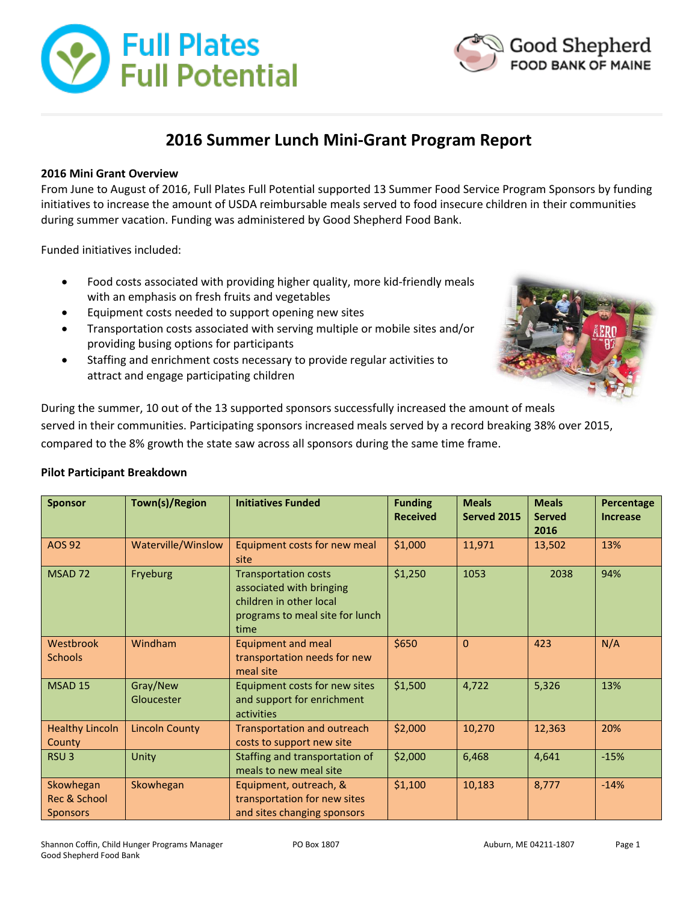



# **2016 Summer Lunch Mini-Grant Program Report**

### **2016 Mini Grant Overview**

From June to August of 2016, Full Plates Full Potential supported 13 Summer Food Service Program Sponsors by funding initiatives to increase the amount of USDA reimbursable meals served to food insecure children in their communities during summer vacation. Funding was administered by Good Shepherd Food Bank.

Funded initiatives included:

- Food costs associated with providing higher quality, more kid-friendly meals with an emphasis on fresh fruits and vegetables
- Equipment costs needed to support opening new sites
- Transportation costs associated with serving multiple or mobile sites and/or providing busing options for participants
- Staffing and enrichment costs necessary to provide regular activities to attract and engage participating children



During the summer, 10 out of the 13 supported sponsors successfully increased the amount of meals served in their communities. Participating sponsors increased meals served by a record breaking 38% over 2015, compared to the 8% growth the state saw across all sponsors during the same time frame.

#### **Pilot Participant Breakdown**

| <b>Sponsor</b>                               | Town(s)/Region         | <b>Initiatives Funded</b>                                                                                                     | <b>Funding</b><br><b>Received</b> | <b>Meals</b><br>Served 2015 | <b>Meals</b><br><b>Served</b><br>2016 | Percentage<br><b>Increase</b> |
|----------------------------------------------|------------------------|-------------------------------------------------------------------------------------------------------------------------------|-----------------------------------|-----------------------------|---------------------------------------|-------------------------------|
| <b>AOS 92</b>                                | Waterville/Winslow     | Equipment costs for new meal<br>site                                                                                          | \$1,000                           | 11,971                      | 13,502                                | 13%                           |
| MSAD <sub>72</sub>                           | Fryeburg               | <b>Transportation costs</b><br>associated with bringing<br>children in other local<br>programs to meal site for lunch<br>time | \$1,250                           | 1053                        | 2038                                  | 94%                           |
| Westbrook<br><b>Schools</b>                  | Windham                | Equipment and meal<br>transportation needs for new<br>meal site                                                               | \$650                             | $\Omega$                    | 423                                   | N/A                           |
| <b>MSAD 15</b>                               | Gray/New<br>Gloucester | Equipment costs for new sites<br>and support for enrichment<br>activities                                                     | \$1,500                           | 4,722                       | 5,326                                 | 13%                           |
| <b>Healthy Lincoln</b><br>County             | <b>Lincoln County</b>  | <b>Transportation and outreach</b><br>costs to support new site                                                               | \$2,000                           | 10,270                      | 12,363                                | 20%                           |
| RSU <sub>3</sub>                             | Unity                  | Staffing and transportation of<br>meals to new meal site                                                                      | \$2,000                           | 6,468                       | 4,641                                 | $-15%$                        |
| Skowhegan<br>Rec & School<br><b>Sponsors</b> | Skowhegan              | Equipment, outreach, &<br>transportation for new sites<br>and sites changing sponsors                                         | \$1,100                           | 10,183                      | 8,777                                 | $-14%$                        |